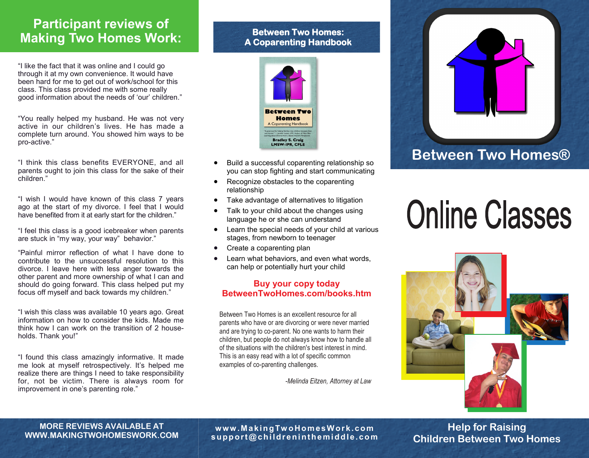### **Participant reviews of Making Two Homes Work:**

"I like the fact that it was online and I could go through it at my own convenience. It would have been hard for me to get out of work/school for this class. This class provided me with some really good information about the needs of 'our' children."

"You really helped my husband. He was not very active in our children's lives. He has made a complete turn around. You showed him ways to be pro-active."

"I think this class benefits EVERYONE, and all parents ought to join this class for the sake of their children."

"I wish I would have known of this class 7 years ago at the start of my divorce. I feel that I would have benefited from it at early start for the children."

"I feel this class is a good icebreaker when parents are stuck in "my way, your way" behavior."

"Painful mirror reflection of what I have done to contribute to the unsuccessful resolution to this divorce. I leave here with less anger towards the other parent and more ownership of what I can and should do going forward. This class helped put my focus off myself and back towards my children."

"I wish this class was available 10 years ago. Great information on how to consider the kids. Made me think how I can work on the transition of 2 households. Thank you!"

"I found this class amazingly informative. It made me look at myself retrospectively. It's helped me realize there are things I need to take responsibility for, not be victim. There is always room for improvement in one's parenting role."

#### **Between Two Homes: A Coparenting Handbook**



- you can stop fighting and start communicating
- Recognize obstacles to the coparenting relationship
- Take advantage of alternatives to litigation
- Talk to your child about the changes using language he or she can understand
- Learn the special needs of your child at various stages, from newborn to teenager
- Create a coparenting plan
- Learn what behaviors, and even what words, can help or potentially hurt your child

#### **Buy your copy today BetweenTwoHomes.com/books.htm**

Between Two Homes is an excellent resource for all parents who have or are divorcing or were never married and are trying to co-parent. No one wants to harm their children, but people do not always know how to handle all of the situations with the children's best interest in mind. This is an easy read with a lot of specific common examples of co-parenting challenges.

*-Melinda Eitzen, Attorney at Law*



# **Online Classes**



**w ww .M a ki ngTw oHom e s W or k . c om s uppor t @ c hi l dr e ni nt he m i ddl e . c om**

**Help for Raising Children Between Two Homes**